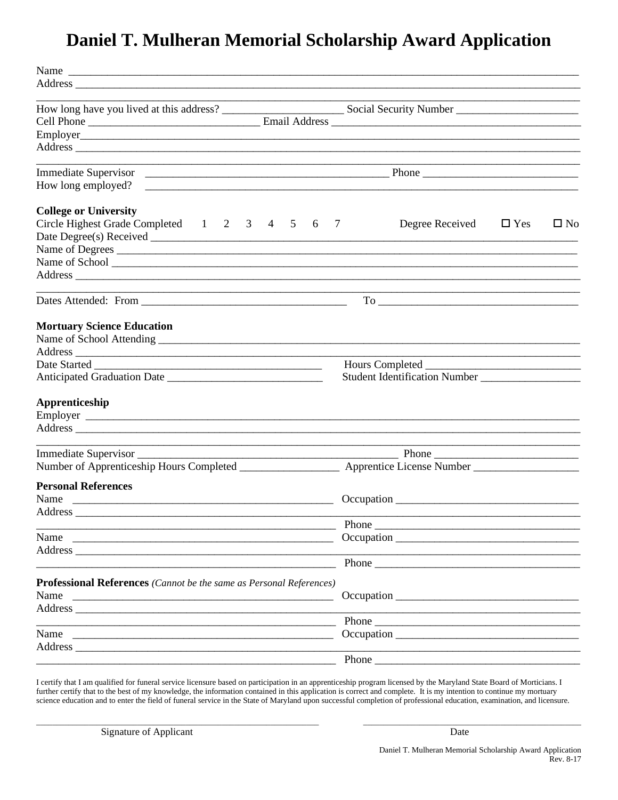## Daniel T. Mulheran Memorial Scholarship Award Application

| Name                                                                                                                                                                                                                           |                                                                                                                       |
|--------------------------------------------------------------------------------------------------------------------------------------------------------------------------------------------------------------------------------|-----------------------------------------------------------------------------------------------------------------------|
| Address experiences and the contract of the contract of the contract of the contract of the contract of the contract of the contract of the contract of the contract of the contract of the contract of the contract of the co |                                                                                                                       |
|                                                                                                                                                                                                                                |                                                                                                                       |
|                                                                                                                                                                                                                                |                                                                                                                       |
|                                                                                                                                                                                                                                |                                                                                                                       |
|                                                                                                                                                                                                                                |                                                                                                                       |
|                                                                                                                                                                                                                                |                                                                                                                       |
|                                                                                                                                                                                                                                |                                                                                                                       |
| <b>College or University</b>                                                                                                                                                                                                   |                                                                                                                       |
| Circle Highest Grade Completed 1 2 3 4 5 6<br>$\overline{7}$                                                                                                                                                                   | Degree Received<br>$\Box$ Yes<br>$\square$ No                                                                         |
|                                                                                                                                                                                                                                |                                                                                                                       |
| Name of Degrees                                                                                                                                                                                                                |                                                                                                                       |
|                                                                                                                                                                                                                                |                                                                                                                       |
| Address experiences and the set of the set of the set of the set of the set of the set of the set of the set of the set of the set of the set of the set of the set of the set of the set of the set of the set of the set of  |                                                                                                                       |
| <u> 1989 - Johann Stoff, deutscher Stoff, der Stoff, der Stoff, der Stoff, der Stoff, der Stoff, der Stoff, der S</u>                                                                                                          |                                                                                                                       |
| <b>Mortuary Science Education</b>                                                                                                                                                                                              |                                                                                                                       |
|                                                                                                                                                                                                                                | <u> 1989 - Johann Barbara, martin amerikan basar dan berasal dalam basar dalam basar dalam basar dalam basar dala</u> |
|                                                                                                                                                                                                                                |                                                                                                                       |
|                                                                                                                                                                                                                                |                                                                                                                       |
| Apprenticeship                                                                                                                                                                                                                 |                                                                                                                       |
| Address experiences and the set of the set of the set of the set of the set of the set of the set of the set of the set of the set of the set of the set of the set of the set of the set of the set of the set of the set of  |                                                                                                                       |
|                                                                                                                                                                                                                                |                                                                                                                       |
|                                                                                                                                                                                                                                |                                                                                                                       |
| <b>Personal References</b>                                                                                                                                                                                                     |                                                                                                                       |
|                                                                                                                                                                                                                                |                                                                                                                       |
| Address_                                                                                                                                                                                                                       |                                                                                                                       |
|                                                                                                                                                                                                                                | Phone                                                                                                                 |
| Name                                                                                                                                                                                                                           |                                                                                                                       |
|                                                                                                                                                                                                                                |                                                                                                                       |
|                                                                                                                                                                                                                                | Phone                                                                                                                 |
|                                                                                                                                                                                                                                |                                                                                                                       |
| Professional References (Cannot be the same as Personal References)<br>Name                                                                                                                                                    |                                                                                                                       |
|                                                                                                                                                                                                                                |                                                                                                                       |
| Address                                                                                                                                                                                                                        |                                                                                                                       |
| Name                                                                                                                                                                                                                           |                                                                                                                       |
|                                                                                                                                                                                                                                |                                                                                                                       |
|                                                                                                                                                                                                                                | Phone                                                                                                                 |
|                                                                                                                                                                                                                                |                                                                                                                       |

I certify that I am qualified for funeral service licensure based on participation in an apprenticeship program licensed by the Maryland State Board of Morticians. I further certify that to the best of my knowledge, the information contained in this application is correct and complete. It is my intention to continue my mortuary science education and to enter the field of funeral service in the State of Maryland upon successful completion of professional education, examination, and licensure.